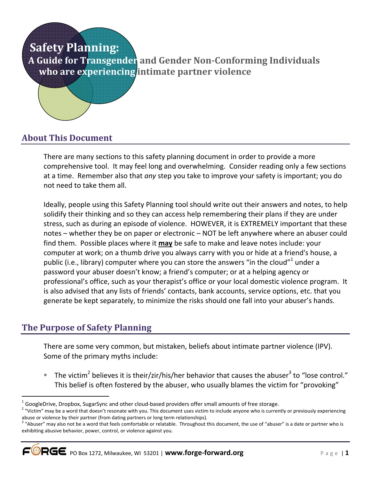# **Safety Planning: A Guide for Transgender and Gender Non-Conforming Individuals who are experiencing intimate partner violence**

# **About This Document**

There are many sections to this safety planning document in order to provide a more comprehensive tool. It may feel long and overwhelming. Consider reading only a few sections at a time. Remember also that *any* step you take to improve your safety is important; you do not need to take them all.

Ideally, people using this Safety Planning tool should write out their answers and notes, to help solidify their thinking and so they can access help remembering their plans if they are under stress, such as during an episode of violence. HOWEVER, it is EXTREMELY important that these notes – whether they be on paper or electronic – NOT be left anywhere where an abuser could find them. Possible places where it **may** be safe to make and leave notes include: your computer at work; on a thumb drive you always carry with you or hide at a friend's house, a public (i.e., library) computer where you can store the answers "in the cloud"<sup>1</sup> under a password your abuser doesn't know; a friend's computer; or at a helping agency or professional's office, such as your therapist's office or your local domestic violence program. It is also advised that any lists of friends' contacts, bank accounts, service options, etc. that you generate be kept separately, to minimize the risks should one fall into your abuser's hands.

### **The Purpose of Safety Planning**

.

There are some very common, but mistaken, beliefs about intimate partner violence (IPV). Some of the primary myths include:

 $\blacksquare$  The victim<sup>2</sup> believes it is their/zir/his/her behavior that causes the abuser<sup>3</sup> to "lose control." This belief is often fostered by the abuser, who usually blames the victim for "provoking"

<sup>&</sup>lt;sup>1</sup> GoogleDrive, Dropbox, SugarSync and other cloud-based providers offer small amounts of free storage.<br><sup>2</sup> "Vistim" may be a word that decay't recepts with you. This decument wes vistim to include apvena who is curren

<sup>&</sup>lt;sup>2</sup> "Victim" may be a word that doesn't resonate with you. This document uses victim to include anyone who is currently or previously experiencing abuse or violence by their partner (from dating partners or long term relationships).

<sup>&</sup>lt;sup>3</sup> "Abuser" may also not be a word that feels comfortable or relatable. Throughout this document, the use of "abuser" is a date or partner who is exhibiting abusive behavior, power, control, or violence against you.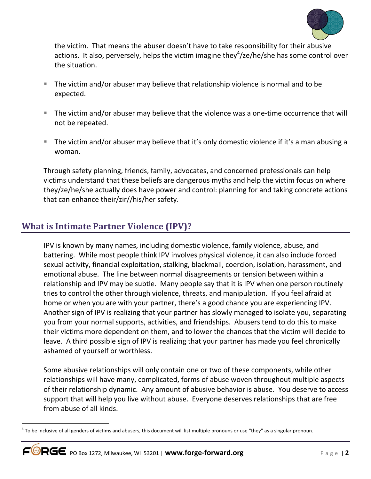

the victim. That means the abuser doesn't have to take responsibility for their abusive actions. It also, perversely, helps the victim imagine they $4$ /ze/he/she has some control over the situation.

- The victim and/or abuser may believe that relationship violence is normal and to be expected.
- The victim and/or abuser may believe that the violence was a one-time occurrence that will not be repeated.
- The victim and/or abuser may believe that it's only domestic violence if it's a man abusing a woman.

Through safety planning, friends, family, advocates, and concerned professionals can help victims understand that these beliefs are dangerous myths and help the victim focus on where they/ze/he/she actually does have power and control: planning for and taking concrete actions that can enhance their/zir//his/her safety.

# **What is Intimate Partner Violence (IPV)?**

IPV is known by many names, including domestic violence, family violence, abuse, and battering. While most people think IPV involves physical violence, it can also include forced sexual activity, financial exploitation, stalking, blackmail, coercion, isolation, harassment, and emotional abuse. The line between normal disagreements or tension between within a relationship and IPV may be subtle. Many people say that it is IPV when one person routinely tries to control the other through violence, threats, and manipulation. If you feel afraid at home or when you are with your partner, there's a good chance you are experiencing IPV. Another sign of IPV is realizing that your partner has slowly managed to isolate you, separating you from your normal supports, activities, and friendships. Abusers tend to do this to make their victims more dependent on them, and to lower the chances that the victim will decide to leave. A third possible sign of IPV is realizing that your partner has made you feel chronically ashamed of yourself or worthless.

Some abusive relationships will only contain one or two of these components, while other relationships will have many, complicated, forms of abuse woven throughout multiple aspects of their relationship dynamic. Any amount of abusive behavior is abuse. You deserve to access support that will help you live without abuse. Everyone deserves relationships that are free from abuse of all kinds.

-

 $^4$  To be inclusive of all genders of victims and abusers, this document will list multiple pronouns or use "they" as a singular pronoun.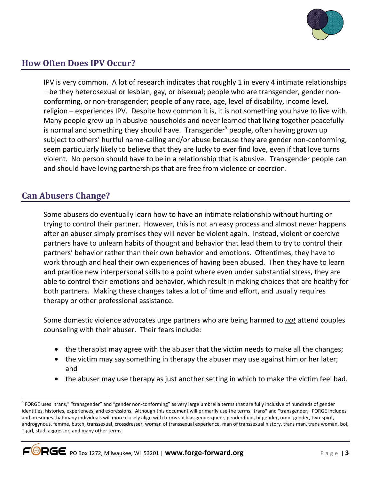

# **How Often Does IPV Occur?**

IPV is very common. A lot of research indicates that roughly 1 in every 4 intimate relationships – be they heterosexual or lesbian, gay, or bisexual; people who are transgender, gender nonconforming, or non-transgender; people of any race, age, level of disability, income level, religion – experiences IPV. Despite how common it is, it is not something you have to live with. Many people grew up in abusive households and never learned that living together peacefully is normal and something they should have. Transgender<sup>5</sup> people, often having grown up subject to others' hurtful name-calling and/or abuse because they are gender non-conforming, seem particularly likely to believe that they are lucky to ever find love, even if that love turns violent. No person should have to be in a relationship that is abusive. Transgender people can and should have loving partnerships that are free from violence or coercion.

### **Can Abusers Change?**

 $\overline{a}$ 

Some abusers do eventually learn how to have an intimate relationship without hurting or trying to control their partner. However, this is not an easy process and almost never happens after an abuser simply promises they will never be violent again. Instead, violent or coercive partners have to unlearn habits of thought and behavior that lead them to try to control their partners' behavior rather than their own behavior and emotions. Oftentimes, they have to work through and heal their own experiences of having been abused. Then they have to learn and practice new interpersonal skills to a point where even under substantial stress, they are able to control their emotions and behavior, which result in making choices that are healthy for both partners. Making these changes takes a lot of time and effort, and usually requires therapy or other professional assistance.

Some domestic violence advocates urge partners who are being harmed to *not* attend couples counseling with their abuser. Their fears include:

- the therapist may agree with the abuser that the victim needs to make all the changes;
- the victim may say something in therapy the abuser may use against him or her later; and
- the abuser may use therapy as just another setting in which to make the victim feel bad.

<sup>&</sup>lt;sup>5</sup> FORGE uses "trans," "transgender" and "gender non-conforming" as very large umbrella terms that are fully inclusive of hundreds of gender identities, histories, experiences, and expressions. Although this document will primarily use the terms "trans" and "transgender," FORGE includes and presumes that many individuals will more closely align with terms such as genderqueer, gender fluid, bi-gender, omni-gender, two-spirit, androgynous, femme, butch, transsexual, crossdresser, woman of transsexual experience, man of transsexual history, trans man, trans woman, boi, T-girl, stud, aggressor, and many other terms.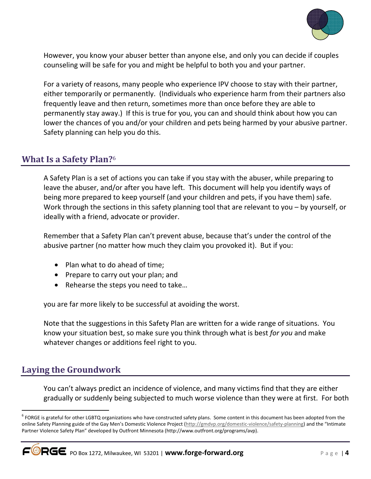

However, you know your abuser better than anyone else, and only you can decide if couples counseling will be safe for you and might be helpful to both you and your partner.

For a variety of reasons, many people who experience IPV choose to stay with their partner, either temporarily or permanently. (Individuals who experience harm from their partners also frequently leave and then return, sometimes more than once before they are able to permanently stay away.) If this is true for you, you can and should think about how you can lower the chances of you and/or your children and pets being harmed by your abusive partner. Safety planning can help you do this.

### **What Is a Safety Plan?**<sup>6</sup>

A Safety Plan is a set of actions you can take if you stay with the abuser, while preparing to leave the abuser, and/or after you have left. This document will help you identify ways of being more prepared to keep yourself (and your children and pets, if you have them) safe. Work through the sections in this safety planning tool that are relevant to you – by yourself, or ideally with a friend, advocate or provider.

Remember that a Safety Plan can't prevent abuse, because that's under the control of the abusive partner (no matter how much they claim you provoked it). But if you:

- Plan what to do ahead of time;
- Prepare to carry out your plan; and
- Rehearse the steps you need to take...

you are far more likely to be successful at avoiding the worst.

Note that the suggestions in this Safety Plan are written for a wide range of situations. You know your situation best, so make sure you think through what is best *for you* and make whatever changes or additions feel right to you.

# **Laying the Groundwork**

You can't always predict an incidence of violence, and many victims find that they are either gradually or suddenly being subjected to much worse violence than they were at first. For both

<sup>.</sup> <sup>6</sup> FORGE is grateful for other LGBTQ organizations who have constructed safety plans. Some content in this document has been adopted from the online Safety Planning guide of the Gay Men's Domestic Violence Project (http://gmdvp.org/domestic-violence/safety-planning) and the "Intimate Partner Violence Safety Plan" developed by Outfront Minnesota (http://www.outfront.org/programs/avp).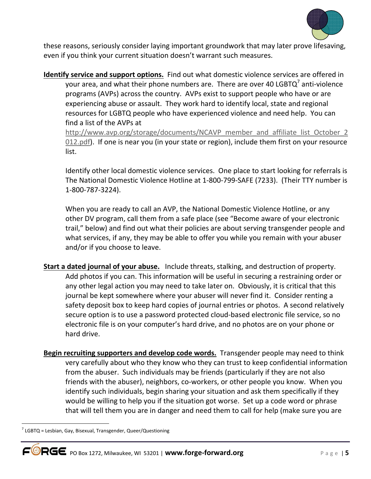

these reasons, seriously consider laying important groundwork that may later prove lifesaving, even if you think your current situation doesn't warrant such measures.

**Identify service and support options.** Find out what domestic violence services are offered in your area, and what their phone numbers are. There are over 40 LGBTQ<sup>7</sup> anti-violence programs (AVPs) across the country. AVPs exist to support people who have or are experiencing abuse or assault. They work hard to identify local, state and regional resources for LGBTQ people who have experienced violence and need help. You can find a list of the AVPs at

http://www.avp.org/storage/documents/NCAVP\_member\_and\_affiliate\_list\_October\_2 012.pdf). If one is near you (in your state or region), include them first on your resource list.

Identify other local domestic violence services. One place to start looking for referrals is The National Domestic Violence Hotline at 1-800-799-SAFE (7233). (Their TTY number is 1-800-787-3224).

When you are ready to call an AVP, the National Domestic Violence Hotline, or any other DV program, call them from a safe place (see "Become aware of your electronic trail," below) and find out what their policies are about serving transgender people and what services, if any, they may be able to offer you while you remain with your abuser and/or if you choose to leave.

- **Start a dated journal of your abuse.** Include threats, stalking, and destruction of property. Add photos if you can. This information will be useful in securing a restraining order or any other legal action you may need to take later on. Obviously, it is critical that this journal be kept somewhere where your abuser will never find it. Consider renting a safety deposit box to keep hard copies of journal entries or photos. A second relatively secure option is to use a password protected cloud-based electronic file service, so no electronic file is on your computer's hard drive, and no photos are on your phone or hard drive.
- **Begin recruiting supporters and develop code words.** Transgender people may need to think very carefully about who they know who they can trust to keep confidential information from the abuser. Such individuals may be friends (particularly if they are not also friends with the abuser), neighbors, co-workers, or other people you know. When you identify such individuals, begin sharing your situation and ask them specifically if they would be willing to help you if the situation got worse. Set up a code word or phrase that will tell them you are in danger and need them to call for help (make sure you are

-

 $7$  LGBTQ = Lesbian, Gay, Bisexual, Transgender, Queer/Questioning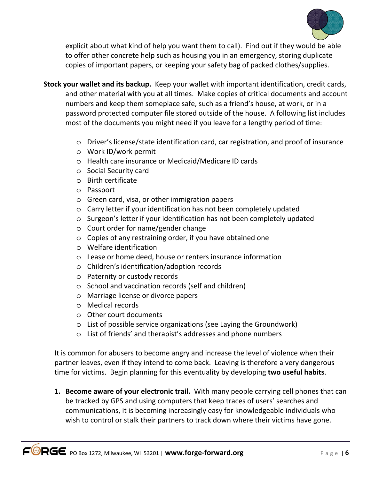

explicit about what kind of help you want them to call). Find out if they would be able to offer other concrete help such as housing you in an emergency, storing duplicate copies of important papers, or keeping your safety bag of packed clothes/supplies.

- **Stock your wallet and its backup.** Keep your wallet with important identification, credit cards, and other material with you at all times. Make copies of critical documents and account numbers and keep them someplace safe, such as a friend's house, at work, or in a password protected computer file stored outside of the house. A following list includes most of the documents you might need if you leave for a lengthy period of time:
	- o Driver's license/state identification card, car registration, and proof of insurance
	- o Work ID/work permit
	- o Health care insurance or Medicaid/Medicare ID cards
	- o Social Security card
	- o Birth certificate
	- o Passport
	- o Green card, visa, or other immigration papers
	- o Carry letter if your identification has not been completely updated
	- o Surgeon's letter if your identification has not been completely updated
	- o Court order for name/gender change
	- o Copies of any restraining order, if you have obtained one
	- o Welfare identification
	- o Lease or home deed, house or renters insurance information
	- o Children's identification/adoption records
	- o Paternity or custody records
	- o School and vaccination records (self and children)
	- o Marriage license or divorce papers
	- o Medical records
	- o Other court documents
	- o List of possible service organizations (see Laying the Groundwork)
	- o List of friends' and therapist's addresses and phone numbers

It is common for abusers to become angry and increase the level of violence when their partner leaves, even if they intend to come back. Leaving is therefore a very dangerous time for victims. Begin planning for this eventuality by developing **two useful habits**.

**1. Become aware of your electronic trail.** With many people carrying cell phones that can be tracked by GPS and using computers that keep traces of users' searches and communications, it is becoming increasingly easy for knowledgeable individuals who wish to control or stalk their partners to track down where their victims have gone.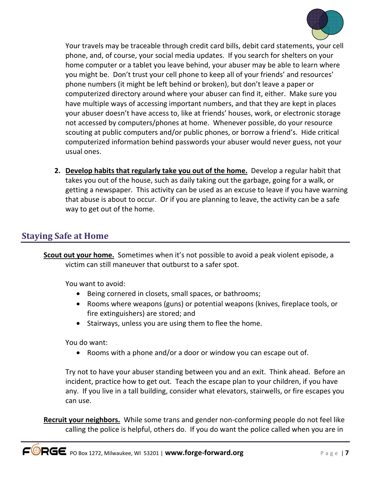

Your travels may be traceable through credit card bills, debit card statements, your cell phone, and, of course, your social media updates. If you search for shelters on your home computer or a tablet you leave behind, your abuser may be able to learn where you might be. Don't trust your cell phone to keep all of your friends' and resources' phone numbers (it might be left behind or broken), but don't leave a paper or computerized directory around where your abuser can find it, either. Make sure you have multiple ways of accessing important numbers, and that they are kept in places your abuser doesn't have access to, like at friends' houses, work, or electronic storage not accessed by computers/phones at home. Whenever possible, do your resource scouting at public computers and/or public phones, or borrow a friend's. Hide critical computerized information behind passwords your abuser would never guess, not your usual ones.

**2. Develop habits that regularly take you out of the home.** Develop a regular habit that takes you out of the house, such as daily taking out the garbage, going for a walk, or getting a newspaper. This activity can be used as an excuse to leave if you have warning that abuse is about to occur. Or if you are planning to leave, the activity can be a safe way to get out of the home.

# **Staying Safe at Home**

**Scout out your home.** Sometimes when it's not possible to avoid a peak violent episode, a victim can still maneuver that outburst to a safer spot.

You want to avoid:

- Being cornered in closets, small spaces, or bathrooms;
- Rooms where weapons (guns) or potential weapons (knives, fireplace tools, or fire extinguishers) are stored; and
- Stairways, unless you are using them to flee the home.

You do want:

• Rooms with a phone and/or a door or window you can escape out of.

Try not to have your abuser standing between you and an exit. Think ahead. Before an incident, practice how to get out. Teach the escape plan to your children, if you have any. If you live in a tall building, consider what elevators, stairwells, or fire escapes you can use.

**Recruit your neighbors.** While some trans and gender non-conforming people do not feel like calling the police is helpful, others do. If you do want the police called when you are in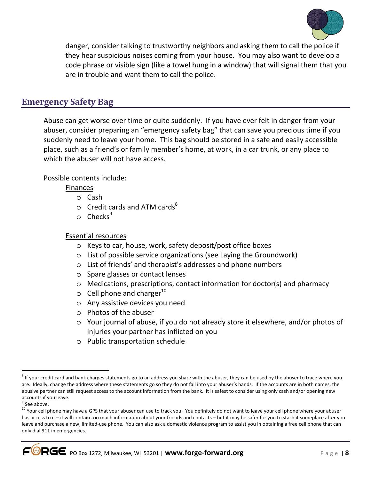

danger, consider talking to trustworthy neighbors and asking them to call the police if they hear suspicious noises coming from your house. You may also want to develop a code phrase or visible sign (like a towel hung in a window) that will signal them that you are in trouble and want them to call the police.

### **Emergency Safety Bag**

Abuse can get worse over time or quite suddenly. If you have ever felt in danger from your abuser, consider preparing an "emergency safety bag" that can save you precious time if you suddenly need to leave your home. This bag should be stored in a safe and easily accessible place, such as a friend's or family member's home, at work, in a car trunk, or any place to which the abuser will not have access.

Possible contents include:

Finances

- o Cash
- $\circ$  Credit cards and ATM cards<sup>8</sup>
- $\circ$  Checks<sup>9</sup>

#### Essential resources

- o Keys to car, house, work, safety deposit/post office boxes
- o List of possible service organizations (see Laying the Groundwork)
- o List of friends' and therapist's addresses and phone numbers
- o Spare glasses or contact lenses
- o Medications, prescriptions, contact information for doctor(s) and pharmacy
- $\circ$  Cell phone and charger<sup>10</sup>
- o Any assistive devices you need
- o Photos of the abuser
- o Your journal of abuse, if you do not already store it elsewhere, and/or photos of injuries your partner has inflicted on you
- o Public transportation schedule

.

 $^8$  If your credit card and bank charges statements go to an address you share with the abuser, they can be used by the abuser to trace where you are. Ideally, change the address where these statements go so they do not fall into your abuser's hands. If the accounts are in both names, the abusive partner can still request access to the account information from the bank. It is safest to consider using only cash and/or opening new accounts if you leave.

<sup>&</sup>lt;sup>9</sup> See above.

<sup>&</sup>lt;sup>10</sup> Your cell phone may have a GPS that your abuser can use to track you. You definitely do not want to leave your cell phone where your abuser has access to it – it will contain too much information about your friends and contacts – but it may be safer for you to stash it someplace after you leave and purchase a new, limited-use phone. You can also ask a domestic violence program to assist you in obtaining a free cell phone that can only dial 911 in emergencies.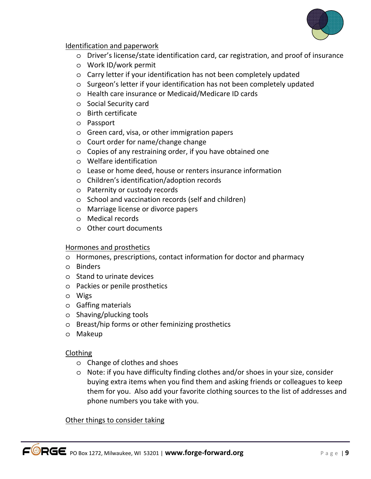

#### Identification and paperwork

- o Driver's license/state identification card, car registration, and proof of insurance
- o Work ID/work permit
- o Carry letter if your identification has not been completely updated
- o Surgeon's letter if your identification has not been completely updated
- o Health care insurance or Medicaid/Medicare ID cards
- o Social Security card
- o Birth certificate
- o Passport
- o Green card, visa, or other immigration papers
- o Court order for name/change change
- o Copies of any restraining order, if you have obtained one
- o Welfare identification
- o Lease or home deed, house or renters insurance information
- o Children's identification/adoption records
- o Paternity or custody records
- o School and vaccination records (self and children)
- o Marriage license or divorce papers
- o Medical records
- o Other court documents

#### Hormones and prosthetics

- o Hormones, prescriptions, contact information for doctor and pharmacy
- o Binders
- o Stand to urinate devices
- o Packies or penile prosthetics
- o Wigs
- o Gaffing materials
- o Shaving/plucking tools
- o Breast/hip forms or other feminizing prosthetics
- o Makeup

#### Clothing

- o Change of clothes and shoes
- o Note: if you have difficulty finding clothes and/or shoes in your size, consider buying extra items when you find them and asking friends or colleagues to keep them for you. Also add your favorite clothing sources to the list of addresses and phone numbers you take with you.

#### Other things to consider taking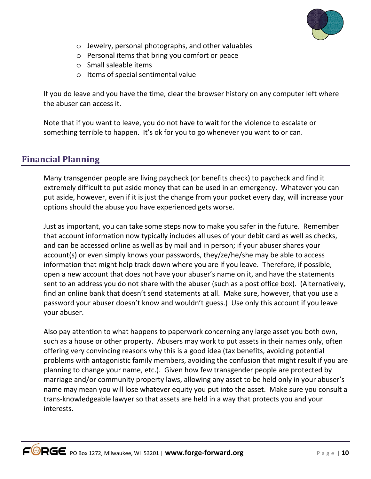

- o Jewelry, personal photographs, and other valuables
- o Personal items that bring you comfort or peace
- o Small saleable items
- o Items of special sentimental value

If you do leave and you have the time, clear the browser history on any computer left where the abuser can access it.

Note that if you want to leave, you do not have to wait for the violence to escalate or something terrible to happen. It's ok for you to go whenever you want to or can.

### **Financial Planning**

Many transgender people are living paycheck (or benefits check) to paycheck and find it extremely difficult to put aside money that can be used in an emergency. Whatever you can put aside, however, even if it is just the change from your pocket every day, will increase your options should the abuse you have experienced gets worse.

Just as important, you can take some steps now to make you safer in the future. Remember that account information now typically includes all uses of your debit card as well as checks, and can be accessed online as well as by mail and in person; if your abuser shares your account(s) or even simply knows your passwords, they/ze/he/she may be able to access information that might help track down where you are if you leave. Therefore, if possible, open a new account that does not have your abuser's name on it, and have the statements sent to an address you do not share with the abuser (such as a post office box). (Alternatively, find an online bank that doesn't send statements at all. Make sure, however, that you use a password your abuser doesn't know and wouldn't guess.) Use only this account if you leave your abuser.

Also pay attention to what happens to paperwork concerning any large asset you both own, such as a house or other property. Abusers may work to put assets in their names only, often offering very convincing reasons why this is a good idea (tax benefits, avoiding potential problems with antagonistic family members, avoiding the confusion that might result if you are planning to change your name, etc.). Given how few transgender people are protected by marriage and/or community property laws, allowing any asset to be held only in your abuser's name may mean you will lose whatever equity you put into the asset. Make sure you consult a trans-knowledgeable lawyer so that assets are held in a way that protects you and your interests.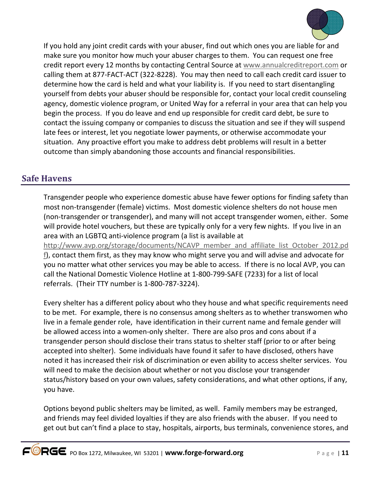

If you hold any joint credit cards with your abuser, find out which ones you are liable for and make sure you monitor how much your abuser charges to them. You can request one free credit report every 12 months by contacting Central Source at www.annualcreditreport.com or calling them at 877-FACT-ACT (322-8228). You may then need to call each credit card issuer to determine how the card is held and what your liability is. If you need to start disentangling yourself from debts your abuser should be responsible for, contact your local credit counseling agency, domestic violence program, or United Way for a referral in your area that can help you begin the process. If you do leave and end up responsible for credit card debt, be sure to contact the issuing company or companies to discuss the situation and see if they will suspend late fees or interest, let you negotiate lower payments, or otherwise accommodate your situation. Any proactive effort you make to address debt problems will result in a better outcome than simply abandoning those accounts and financial responsibilities.

# **Safe Havens**

Transgender people who experience domestic abuse have fewer options for finding safety than most non-transgender (female) victims. Most domestic violence shelters do not house men (non-transgender or transgender), and many will not accept transgender women, either. Some will provide hotel vouchers, but these are typically only for a very few nights. If you live in an area with an LGBTQ anti-violence program (a list is available at http://www.avp.org/storage/documents/NCAVP\_member\_and\_affiliate\_list\_October\_2012.pd f), contact them first, as they may know who might serve you and will advise and advocate for you no matter what other services you may be able to access. If there is no local AVP, you can call the National Domestic Violence Hotline at 1-800-799-SAFE (7233) for a list of local referrals. (Their TTY number is 1-800-787-3224).

Every shelter has a different policy about who they house and what specific requirements need to be met. For example, there is no consensus among shelters as to whether transwomen who live in a female gender role, have identification in their current name and female gender will be allowed access into a women-only shelter. There are also pros and cons about if a transgender person should disclose their trans status to shelter staff (prior to or after being accepted into shelter). Some individuals have found it safer to have disclosed, others have noted it has increased their risk of discrimination or even ability to access shelter services. You will need to make the decision about whether or not you disclose your transgender status/history based on your own values, safety considerations, and what other options, if any, you have.

Options beyond public shelters may be limited, as well. Family members may be estranged, and friends may feel divided loyalties if they are also friends with the abuser. If you need to get out but can't find a place to stay, hospitals, airports, bus terminals, convenience stores, and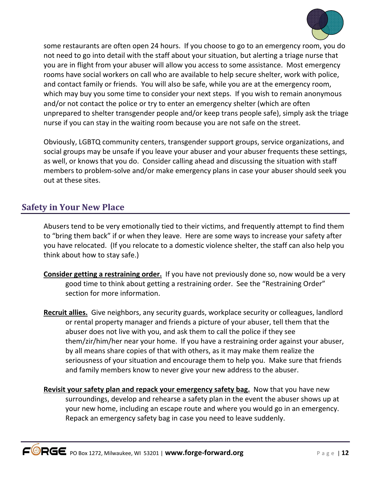

some restaurants are often open 24 hours. If you choose to go to an emergency room, you do not need to go into detail with the staff about your situation, but alerting a triage nurse that you are in flight from your abuser will allow you access to some assistance. Most emergency rooms have social workers on call who are available to help secure shelter, work with police, and contact family or friends. You will also be safe, while you are at the emergency room, which may buy you some time to consider your next steps. If you wish to remain anonymous and/or not contact the police or try to enter an emergency shelter (which are often unprepared to shelter transgender people and/or keep trans people safe), simply ask the triage nurse if you can stay in the waiting room because you are not safe on the street.

Obviously, LGBTQ community centers, transgender support groups, service organizations, and social groups may be unsafe if you leave your abuser and your abuser frequents these settings, as well, or knows that you do. Consider calling ahead and discussing the situation with staff members to problem-solve and/or make emergency plans in case your abuser should seek you out at these sites.

### **Safety in Your New Place**

Abusers tend to be very emotionally tied to their victims, and frequently attempt to find them to "bring them back" if or when they leave. Here are some ways to increase your safety after you have relocated. (If you relocate to a domestic violence shelter, the staff can also help you think about how to stay safe.)

- **Consider getting a restraining order.** If you have not previously done so, now would be a very good time to think about getting a restraining order. See the "Restraining Order" section for more information.
- **Recruit allies.** Give neighbors, any security guards, workplace security or colleagues, landlord or rental property manager and friends a picture of your abuser, tell them that the abuser does not live with you, and ask them to call the police if they see them/zir/him/her near your home. If you have a restraining order against your abuser, by all means share copies of that with others, as it may make them realize the seriousness of your situation and encourage them to help you. Make sure that friends and family members know to never give your new address to the abuser.
- **Revisit your safety plan and repack your emergency safety bag.** Now that you have new surroundings, develop and rehearse a safety plan in the event the abuser shows up at your new home, including an escape route and where you would go in an emergency. Repack an emergency safety bag in case you need to leave suddenly.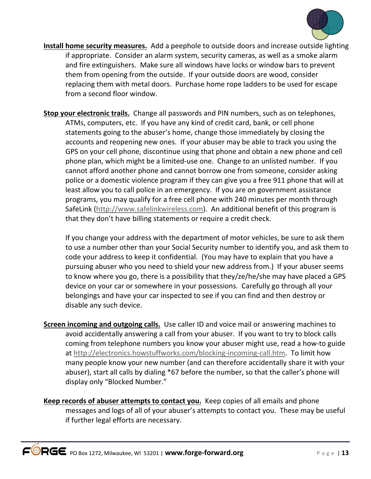

- **Install home security measures.** Add a peephole to outside doors and increase outside lighting if appropriate. Consider an alarm system, security cameras, as well as a smoke alarm and fire extinguishers. Make sure all windows have locks or window bars to prevent them from opening from the outside. If your outside doors are wood, consider replacing them with metal doors. Purchase home rope ladders to be used for escape from a second floor window.
- **Stop your electronic trails.** Change all passwords and PIN numbers, such as on telephones, ATMs, computers, etc. If you have any kind of credit card, bank, or cell phone statements going to the abuser's home, change those immediately by closing the accounts and reopening new ones. If your abuser may be able to track you using the GPS on your cell phone, discontinue using that phone and obtain a new phone and cell phone plan, which might be a limited-use one. Change to an unlisted number. If you cannot afford another phone and cannot borrow one from someone, consider asking police or a domestic violence program if they can give you a free 911 phone that will at least allow you to call police in an emergency. If you are on government assistance programs, you may qualify for a free cell phone with 240 minutes per month through SafeLink (http://www.safelinkwireless.com). An additional benefit of this program is that they don't have billing statements or require a credit check.

If you change your address with the department of motor vehicles, be sure to ask them to use a number other than your Social Security number to identify you, and ask them to code your address to keep it confidential. (You may have to explain that you have a pursuing abuser who you need to shield your new address from.) If your abuser seems to know where you go, there is a possibility that they/ze/he/she may have placed a GPS device on your car or somewhere in your possessions. Carefully go through all your belongings and have your car inspected to see if you can find and then destroy or disable any such device.

- **Screen incoming and outgoing calls.** Use caller ID and voice mail or answering machines to avoid accidentally answering a call from your abuser. If you want to try to block calls coming from telephone numbers you know your abuser might use, read a how-to guide at http://electronics.howstuffworks.com/blocking-incoming-call.htm. To limit how many people know your new number (and can therefore accidentally share it with your abuser), start all calls by dialing \*67 before the number, so that the caller's phone will display only "Blocked Number."
- **Keep records of abuser attempts to contact you.** Keep copies of all emails and phone messages and logs of all of your abuser's attempts to contact you. These may be useful if further legal efforts are necessary.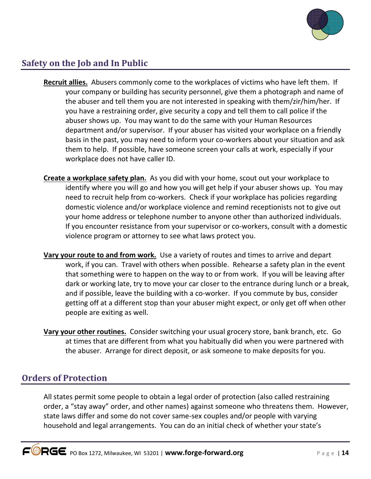

# **Safety on the Job and In Public**

- **Recruit allies.** Abusers commonly come to the workplaces of victims who have left them. If your company or building has security personnel, give them a photograph and name of the abuser and tell them you are not interested in speaking with them/zir/him/her. If you have a restraining order, give security a copy and tell them to call police if the abuser shows up. You may want to do the same with your Human Resources department and/or supervisor. If your abuser has visited your workplace on a friendly basis in the past, you may need to inform your co-workers about your situation and ask them to help. If possible, have someone screen your calls at work, especially if your workplace does not have caller ID.
- **Create a workplace safety plan.** As you did with your home, scout out your workplace to identify where you will go and how you will get help if your abuser shows up. You may need to recruit help from co-workers. Check if your workplace has policies regarding domestic violence and/or workplace violence and remind receptionists not to give out your home address or telephone number to anyone other than authorized individuals. If you encounter resistance from your supervisor or co-workers, consult with a domestic violence program or attorney to see what laws protect you.
- **Vary your route to and from work.** Use a variety of routes and times to arrive and depart work, if you can. Travel with others when possible. Rehearse a safety plan in the event that something were to happen on the way to or from work. If you will be leaving after dark or working late, try to move your car closer to the entrance during lunch or a break, and if possible, leave the building with a co-worker. If you commute by bus, consider getting off at a different stop than your abuser might expect, or only get off when other people are exiting as well.
- **Vary your other routines.** Consider switching your usual grocery store, bank branch, etc. Go at times that are different from what you habitually did when you were partnered with the abuser. Arrange for direct deposit, or ask someone to make deposits for you.

# **Orders of Protection**

All states permit some people to obtain a legal order of protection (also called restraining order, a "stay away" order, and other names) against someone who threatens them. However, state laws differ and some do not cover same-sex couples and/or people with varying household and legal arrangements. You can do an initial check of whether your state's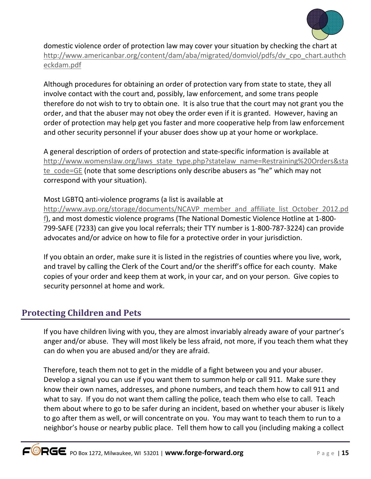

domestic violence order of protection law may cover your situation by checking the chart at http://www.americanbar.org/content/dam/aba/migrated/domviol/pdfs/dv\_cpo\_chart.authch eckdam.pdf

Although procedures for obtaining an order of protection vary from state to state, they all involve contact with the court and, possibly, law enforcement, and some trans people therefore do not wish to try to obtain one. It is also true that the court may not grant you the order, and that the abuser may not obey the order even if it is granted. However, having an order of protection may help get you faster and more cooperative help from law enforcement and other security personnel if your abuser does show up at your home or workplace.

A general description of orders of protection and state-specific information is available at http://www.womenslaw.org/laws\_state\_type.php?statelaw\_name=Restraining%20Orders&sta te\_code=GE (note that some descriptions only describe abusers as "he" which may not correspond with your situation).

#### Most LGBTQ anti-violence programs (a list is available at

http://www.avp.org/storage/documents/NCAVP\_member\_and\_affiliate\_list\_October\_2012.pd f), and most domestic violence programs (The National Domestic Violence Hotline at 1-800- 799-SAFE (7233) can give you local referrals; their TTY number is 1-800-787-3224) can provide advocates and/or advice on how to file for a protective order in your jurisdiction.

If you obtain an order, make sure it is listed in the registries of counties where you live, work, and travel by calling the Clerk of the Court and/or the sheriff's office for each county. Make copies of your order and keep them at work, in your car, and on your person. Give copies to security personnel at home and work.

### **Protecting Children and Pets**

If you have children living with you, they are almost invariably already aware of your partner's anger and/or abuse. They will most likely be less afraid, not more, if you teach them what they can do when you are abused and/or they are afraid.

Therefore, teach them not to get in the middle of a fight between you and your abuser. Develop a signal you can use if you want them to summon help or call 911. Make sure they know their own names, addresses, and phone numbers, and teach them how to call 911 and what to say. If you do not want them calling the police, teach them who else to call. Teach them about where to go to be safer during an incident, based on whether your abuser is likely to go after them as well, or will concentrate on you. You may want to teach them to run to a neighbor's house or nearby public place. Tell them how to call you (including making a collect